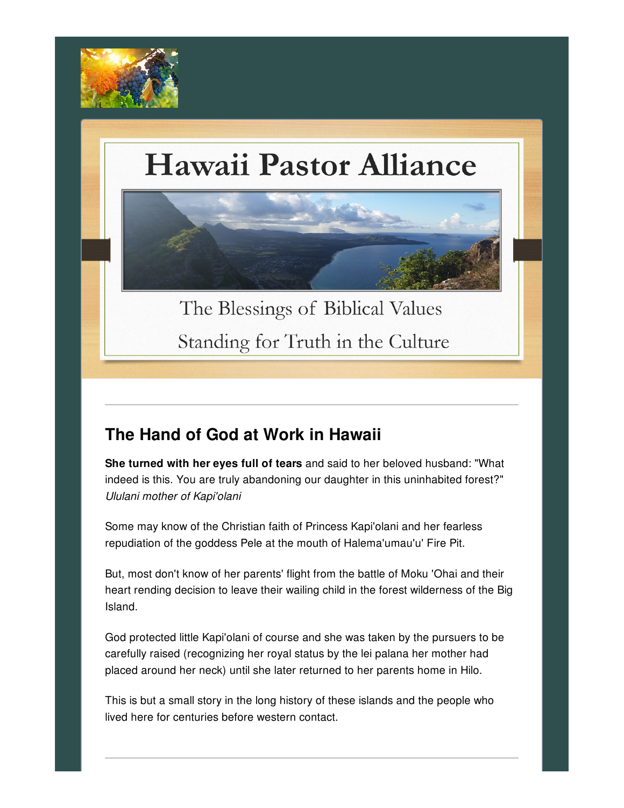

# Hawaii Pastor Alliance



The Blessings of Biblical Values Standing for Truth in the Culture

#### **The Hand of God at Work in Hawaii**

**She turned with her eyes full of tears** and said to her beloved husband: "What indeed is this. You are truly abandoning our daughter in this uninhabited forest?" *Ululani mother of Kapi'olani*

Some may know of the Christian faith of Princess Kapi'olani and her fearless repudiation of the goddess Pele at the mouth of Halema'umau'u' Fire Pit.

But, most don't know of her parents' flight from the battle of Moku 'Ohai and their heart rending decision to leave their wailing child in the forest wilderness of the Big Island.

God protected little Kapi'olani of course and she was taken by the pursuers to be carefully raised (recognizing her royal status by the lei palana her mother had placed around her neck) until she later returned to her parents home in Hilo.

This is but a small story in the long history of these islands and the people who lived here for centuries before western contact.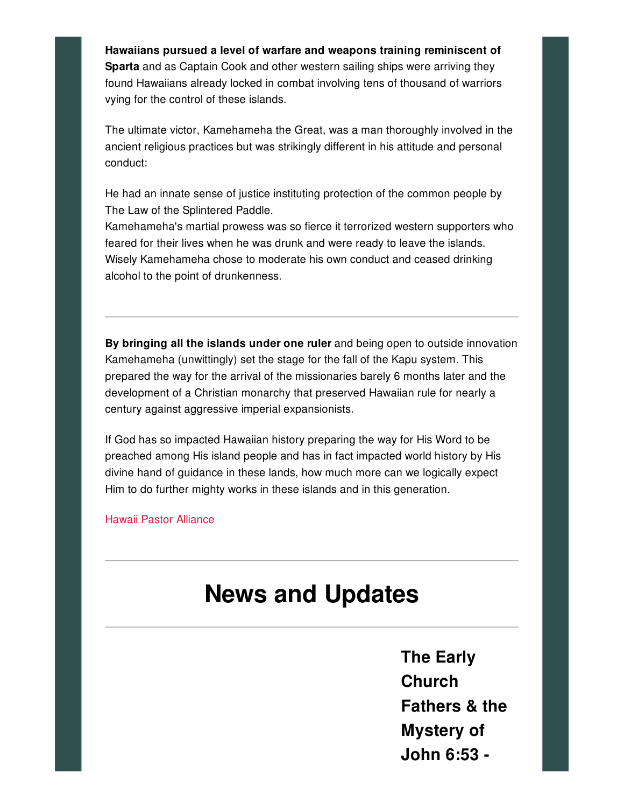**Hawaiians pursued a level of warfare and weapons training reminiscent of Sparta** and as Captain Cook and other western sailing ships were arriving they found Hawaiians already locked in combat involving tens of thousand of warriors vying for the control of these islands.

The ultimate victor, Kamehameha the Great, was a man thoroughly involved in the ancient religious practices but was strikingly different in his attitude and personal conduct:

He had an innate sense of justice instituting protection of the common people by The Law of the Splintered Paddle.

Kamehameha's martial prowess was so fierce it terrorized western supporters who feared for their lives when he was drunk and were ready to leave the islands. Wisely Kamehameha chose to moderate his own conduct and ceased drinking alcohol to the point of drunkenness.

**By bringing all the islands under one ruler** and being open to outside innovation Kamehameha (unwittingly) set the stage for the fall of the Kapu system. This prepared the way for the arrival of the missionaries barely 6 months later and the development of a Christian monarchy that preserved Hawaiian rule for nearly a century against aggressive imperial expansionists.

If God has so impacted Hawaiian history preparing the way for His Word to be preached among His island people and has in fact impacted world history by His divine hand of guidance in these lands, how much more can we logically expect Him to do further mighty works in these islands and in this generation.

Hawaii Pastor [Alliance](http://hawaiipastoralliance.us/)

## **News and Updates**

**The Early Church Fathers & the Mystery of John 6:53 -**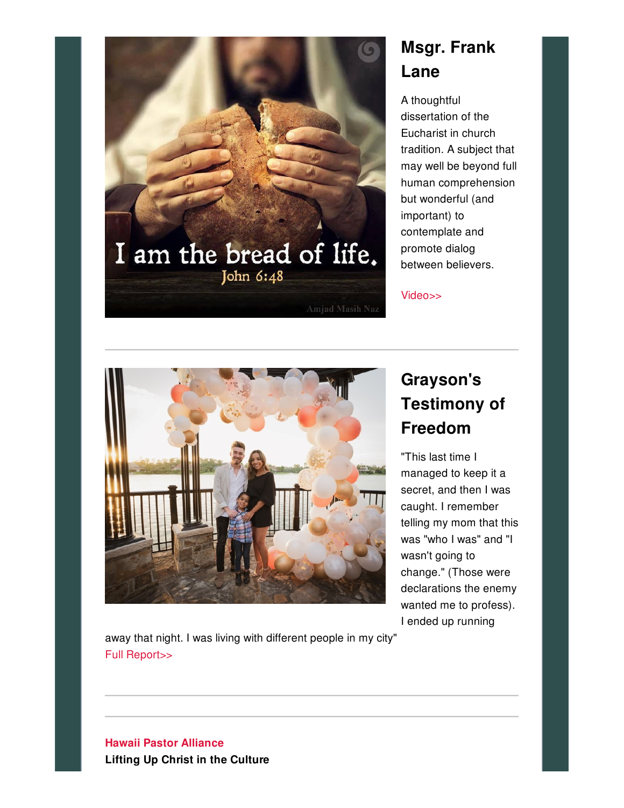

### **Msgr. Frank Lane**

A thoughtful dissertation of the Eucharist in church tradition. A subject that may well be beyond full human comprehension but wonderful (and important) to contemplate and promote dialog between believers.

[Video>>](https://youtu.be/filV-JMFc98)



#### **Grayson's Testimony of Freedom**

"This last time I managed to keep it a secret, and then I was caught. I remember telling my mom that this was "who I was" and "I wasn't going to change." (Those were declarations the enemy wanted me to profess). I ended up running

away that night. I was living with different people in my city" Full [Report>>](https://www.janetboynesministries.com/index.php/connect/blog/196-grayson-s-testimony-of-freedom)

#### **Hawaii Pastor [Alliance](http://hawaiipastoralliance.us/) Lifting Up Christ in the Culture**